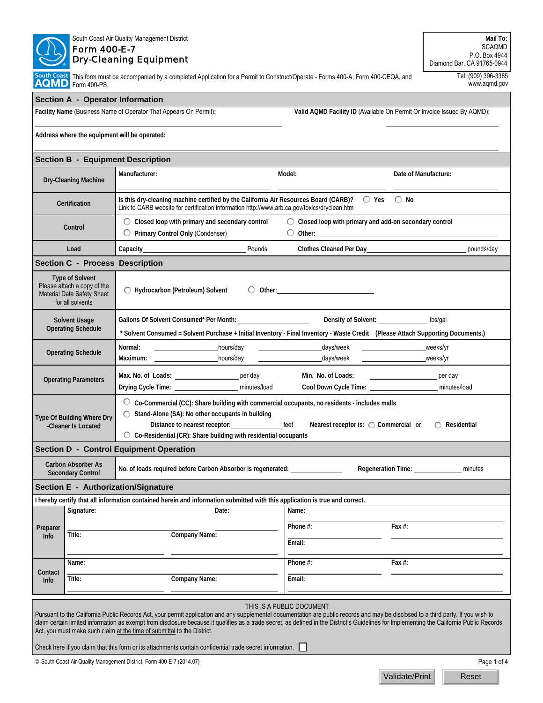|                                                                                                                                                                                                                                                                                                                                                                                                                                                                                          | <b>SCAQMD</b><br>P.O. Box 4944<br>Diamond Bar, CA 91765-0944                                                                                                                                         |                                                                                                                                                                                                                                                                                                                                                             |                                                                                                                                                                                                                                                                                           |                                                                                                                |  |  |  |  |
|------------------------------------------------------------------------------------------------------------------------------------------------------------------------------------------------------------------------------------------------------------------------------------------------------------------------------------------------------------------------------------------------------------------------------------------------------------------------------------------|------------------------------------------------------------------------------------------------------------------------------------------------------------------------------------------------------|-------------------------------------------------------------------------------------------------------------------------------------------------------------------------------------------------------------------------------------------------------------------------------------------------------------------------------------------------------------|-------------------------------------------------------------------------------------------------------------------------------------------------------------------------------------------------------------------------------------------------------------------------------------------|----------------------------------------------------------------------------------------------------------------|--|--|--|--|
|                                                                                                                                                                                                                                                                                                                                                                                                                                                                                          | Tel: (909) 396-3385<br>South Coast This form must be accompanied by a completed Application for a Permit to Construct/Operate - Forms 400-A, Form 400-CEQA, and<br>AQMD Form 400-PS.<br>www.aqmd.gov |                                                                                                                                                                                                                                                                                                                                                             |                                                                                                                                                                                                                                                                                           |                                                                                                                |  |  |  |  |
|                                                                                                                                                                                                                                                                                                                                                                                                                                                                                          | Section A - Operator Information                                                                                                                                                                     |                                                                                                                                                                                                                                                                                                                                                             |                                                                                                                                                                                                                                                                                           |                                                                                                                |  |  |  |  |
|                                                                                                                                                                                                                                                                                                                                                                                                                                                                                          |                                                                                                                                                                                                      | Facility Name (Business Name of Operator That Appears On Permit):                                                                                                                                                                                                                                                                                           | Valid AQMD Facility ID (Available On Permit Or Invoice Issued By AQMD):                                                                                                                                                                                                                   |                                                                                                                |  |  |  |  |
|                                                                                                                                                                                                                                                                                                                                                                                                                                                                                          |                                                                                                                                                                                                      | Address where the equipment will be operated:                                                                                                                                                                                                                                                                                                               |                                                                                                                                                                                                                                                                                           |                                                                                                                |  |  |  |  |
|                                                                                                                                                                                                                                                                                                                                                                                                                                                                                          |                                                                                                                                                                                                      | <b>Section B - Equipment Description</b>                                                                                                                                                                                                                                                                                                                    |                                                                                                                                                                                                                                                                                           |                                                                                                                |  |  |  |  |
| <b>Dry-Cleaning Machine</b>                                                                                                                                                                                                                                                                                                                                                                                                                                                              |                                                                                                                                                                                                      | Manufacturer:                                                                                                                                                                                                                                                                                                                                               | Model:                                                                                                                                                                                                                                                                                    | Date of Manufacture:                                                                                           |  |  |  |  |
|                                                                                                                                                                                                                                                                                                                                                                                                                                                                                          | Certification                                                                                                                                                                                        | Is this dry-cleaning machine certified by the California Air Resources Board (CARB)?<br>$\bigcirc$ Yes $\bigcirc$ No<br>Link to CARB website for certification information http://www.arb.ca.gov/toxics/dryclean.htm                                                                                                                                        |                                                                                                                                                                                                                                                                                           |                                                                                                                |  |  |  |  |
| Control                                                                                                                                                                                                                                                                                                                                                                                                                                                                                  |                                                                                                                                                                                                      | $\bigcirc$ Closed loop with primary and secondary control<br>◯ Primary Control Only (Condenser)                                                                                                                                                                                                                                                             | ◯ Closed loop with primary and add-on secondary control<br>O Other: 2000 00:00 00:00 00:00 00:00 00:00 00:00 00:00 00:00 00:00 00:00 00:00 00:00 00:00 00:00 00:00 00:00 00:00 00:00 00:00 00:00 00:00 00:00 00:00 00:00 00:00 00:00 00:00 00:00 00:00 00:00 00:00 00:00 00:00 00:00 00:0 |                                                                                                                |  |  |  |  |
|                                                                                                                                                                                                                                                                                                                                                                                                                                                                                          | Load                                                                                                                                                                                                 | Pounds<br>Capacity Capacity Capacity                                                                                                                                                                                                                                                                                                                        | Clothes Cleaned Per Day 1994                                                                                                                                                                                                                                                              | pounds/day                                                                                                     |  |  |  |  |
|                                                                                                                                                                                                                                                                                                                                                                                                                                                                                          | <b>Section C - Process Description</b>                                                                                                                                                               |                                                                                                                                                                                                                                                                                                                                                             |                                                                                                                                                                                                                                                                                           |                                                                                                                |  |  |  |  |
|                                                                                                                                                                                                                                                                                                                                                                                                                                                                                          | <b>Type of Solvent</b><br>Please attach a copy of the<br>Material Data Safety Sheet<br>for all solvents                                                                                              | ◯ Hydrocarbon (Petroleum) Solvent                                                                                                                                                                                                                                                                                                                           |                                                                                                                                                                                                                                                                                           |                                                                                                                |  |  |  |  |
| <b>Solvent Usage</b><br><b>Operating Schedule</b>                                                                                                                                                                                                                                                                                                                                                                                                                                        |                                                                                                                                                                                                      | Density of Solvent: ______________ lbs/gal<br>* Solvent Consumed = Solvent Purchase + Initial Inventory - Final Inventory - Waste Credit (Please Attach Supporting Documents.)                                                                                                                                                                              |                                                                                                                                                                                                                                                                                           |                                                                                                                |  |  |  |  |
| <b>Operating Schedule</b>                                                                                                                                                                                                                                                                                                                                                                                                                                                                |                                                                                                                                                                                                      | Normal:<br>hours/day<br>Maximum: hours/day                                                                                                                                                                                                                                                                                                                  | _days/week<br><u>and the company of the company of the company of the company of the company of the company of the company of the company of the company of the company of the company of the company of the company of the company of the com</u><br>days/week                           | weeks/yr<br>weeks/yr                                                                                           |  |  |  |  |
| <b>Operating Parameters</b>                                                                                                                                                                                                                                                                                                                                                                                                                                                              |                                                                                                                                                                                                      | Max. No. of Loads: _________________________ per day                                                                                                                                                                                                                                                                                                        | Min. No. of Loads:<br>Cool Down Cycle Time: ___________________________ minutes/load                                                                                                                                                                                                      | experience the periodic periodic periodic periodic state of the state of the state of the state of the state o |  |  |  |  |
| Type Of Building Where Dry<br>-Cleaner Is Located                                                                                                                                                                                                                                                                                                                                                                                                                                        |                                                                                                                                                                                                      | ○ Co-Commercial (CC): Share building with commercial occupants, no residents - includes malls<br>◯ Stand-Alone (SA): No other occupants in building<br>Distance to nearest receptor: _______________________ feet<br>Nearest receptor is: $\bigcirc$ Commercial or<br>Residential<br>$\circ$ Co-Residential (CR): Share building with residential occupants |                                                                                                                                                                                                                                                                                           |                                                                                                                |  |  |  |  |
|                                                                                                                                                                                                                                                                                                                                                                                                                                                                                          |                                                                                                                                                                                                      | <b>Section D - Control Equipment Operation</b>                                                                                                                                                                                                                                                                                                              |                                                                                                                                                                                                                                                                                           |                                                                                                                |  |  |  |  |
|                                                                                                                                                                                                                                                                                                                                                                                                                                                                                          | <b>Carbon Absorber As</b><br><b>Secondary Control</b>                                                                                                                                                | No. of loads required before Carbon Absorber is regenerated: ___________________                                                                                                                                                                                                                                                                            |                                                                                                                                                                                                                                                                                           | Regeneration Time: _______________<br>minutes                                                                  |  |  |  |  |
|                                                                                                                                                                                                                                                                                                                                                                                                                                                                                          |                                                                                                                                                                                                      | Section E - Authorization/Signature                                                                                                                                                                                                                                                                                                                         |                                                                                                                                                                                                                                                                                           |                                                                                                                |  |  |  |  |
|                                                                                                                                                                                                                                                                                                                                                                                                                                                                                          |                                                                                                                                                                                                      | I hereby certify that all information contained herein and information submitted with this application is true and correct.                                                                                                                                                                                                                                 |                                                                                                                                                                                                                                                                                           |                                                                                                                |  |  |  |  |
|                                                                                                                                                                                                                                                                                                                                                                                                                                                                                          | Signature:                                                                                                                                                                                           | Date:                                                                                                                                                                                                                                                                                                                                                       | Name:                                                                                                                                                                                                                                                                                     |                                                                                                                |  |  |  |  |
| Preparer                                                                                                                                                                                                                                                                                                                                                                                                                                                                                 | Title:                                                                                                                                                                                               | Company Name:                                                                                                                                                                                                                                                                                                                                               | Phone #:                                                                                                                                                                                                                                                                                  | Fax $#$ :                                                                                                      |  |  |  |  |
| <b>Info</b>                                                                                                                                                                                                                                                                                                                                                                                                                                                                              |                                                                                                                                                                                                      |                                                                                                                                                                                                                                                                                                                                                             | Email:                                                                                                                                                                                                                                                                                    |                                                                                                                |  |  |  |  |
|                                                                                                                                                                                                                                                                                                                                                                                                                                                                                          | Name:                                                                                                                                                                                                |                                                                                                                                                                                                                                                                                                                                                             | Phone #:                                                                                                                                                                                                                                                                                  | Fax $#$ :                                                                                                      |  |  |  |  |
| Contact<br><b>Info</b>                                                                                                                                                                                                                                                                                                                                                                                                                                                                   | Title:                                                                                                                                                                                               | <b>Company Name:</b>                                                                                                                                                                                                                                                                                                                                        | Email:                                                                                                                                                                                                                                                                                    |                                                                                                                |  |  |  |  |
| THIS IS A PUBLIC DOCUMENT<br>Pursuant to the California Public Records Act, your permit application and any supplemental documentation are public records and may be disclosed to a third party. If you wish to<br>claim certain limited information as exempt from disclosure because it qualifies as a trade secret, as defined in the District's Guidelines for Implementing the California Public Records<br>Act, you must make such claim at the time of submittal to the District. |                                                                                                                                                                                                      |                                                                                                                                                                                                                                                                                                                                                             |                                                                                                                                                                                                                                                                                           |                                                                                                                |  |  |  |  |
|                                                                                                                                                                                                                                                                                                                                                                                                                                                                                          |                                                                                                                                                                                                      | Check here if you claim that this form or its attachments contain confidential trade secret information.                                                                                                                                                                                                                                                    |                                                                                                                                                                                                                                                                                           |                                                                                                                |  |  |  |  |
|                                                                                                                                                                                                                                                                                                                                                                                                                                                                                          |                                                                                                                                                                                                      | © South Coast Air Quality Management District, Form 400-E-7 (2014.07)                                                                                                                                                                                                                                                                                       |                                                                                                                                                                                                                                                                                           | Page 1 of 4                                                                                                    |  |  |  |  |

South Coast Air Quality Management District

 $\mathcal{L}$ Ŋ Ν

Validate/Print Reset

**Mail To:**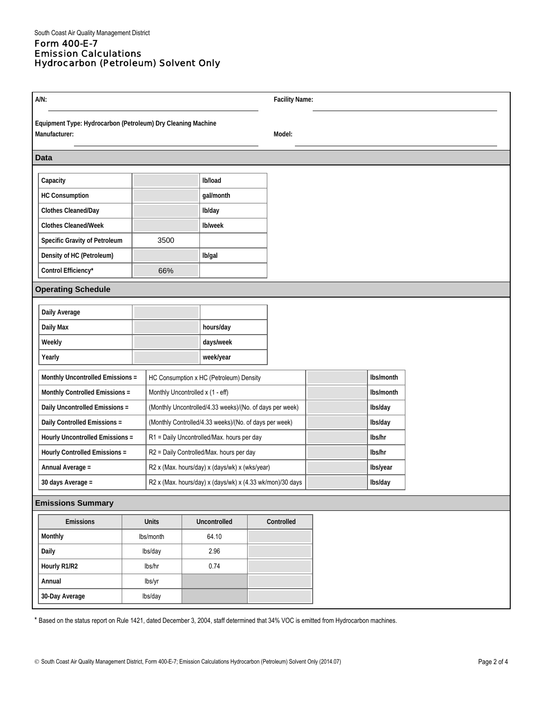## Form 400-E-7 Emission Calculations Hydrocarbon (Petroleum) Solvent Only

| $A/N$ :                         |                                                                               |                                                           |                                                          |           | <b>Facility Name:</b> |            |         |           |           |  |
|---------------------------------|-------------------------------------------------------------------------------|-----------------------------------------------------------|----------------------------------------------------------|-----------|-----------------------|------------|---------|-----------|-----------|--|
|                                 | Equipment Type: Hydrocarbon (Petroleum) Dry Cleaning Machine<br>Manufacturer: |                                                           |                                                          |           |                       | Model:     |         |           |           |  |
|                                 | <b>Data</b>                                                                   |                                                           |                                                          |           |                       |            |         |           |           |  |
|                                 | Capacity                                                                      |                                                           |                                                          | Ib/load   |                       |            |         |           |           |  |
|                                 | HC Consumption                                                                |                                                           |                                                          | gal/month |                       |            |         |           |           |  |
|                                 | <b>Clothes Cleaned/Day</b>                                                    |                                                           |                                                          | Ib/day    |                       |            |         |           |           |  |
| <b>Clothes Cleaned/Week</b>     |                                                                               |                                                           | Ib/week                                                  |           |                       |            |         |           |           |  |
| Specific Gravity of Petroleum   |                                                                               | 3500                                                      |                                                          |           |                       |            |         |           |           |  |
|                                 | Density of HC (Petroleum)                                                     |                                                           |                                                          | Ib/gal    |                       |            |         |           |           |  |
| Control Efficiency*             |                                                                               | 66%                                                       |                                                          |           |                       |            |         |           |           |  |
| <b>Operating Schedule</b>       |                                                                               |                                                           |                                                          |           |                       |            |         |           |           |  |
|                                 | Daily Average                                                                 |                                                           |                                                          |           |                       |            |         |           |           |  |
|                                 | Daily Max                                                                     |                                                           |                                                          | hours/day |                       |            |         |           |           |  |
|                                 | Weekly                                                                        |                                                           |                                                          | days/week |                       |            |         |           |           |  |
|                                 | Yearly                                                                        |                                                           |                                                          | week/year |                       |            |         |           |           |  |
|                                 | Monthly Uncontrolled Emissions =<br>HC Consumption x HC (Petroleum) Density   |                                                           |                                                          |           |                       |            |         | Ibs/month |           |  |
| Monthly Controlled Emissions =  |                                                                               |                                                           | Monthly Uncontrolled x (1 - eff)                         |           |                       |            |         |           | Ibs/month |  |
| Daily Uncontrolled Emissions =  |                                                                               |                                                           | (Monthly Uncontrolled/4.33 weeks)/(No. of days per week) |           |                       |            |         |           | lbs/day   |  |
| Daily Controlled Emissions =    |                                                                               | (Monthly Controlled/4.33 weeks)/(No. of days per week)    |                                                          |           |                       |            |         | Ibs/day   |           |  |
| Hourly Uncontrolled Emissions = |                                                                               | R1 = Daily Uncontrolled/Max. hours per day                |                                                          |           |                       |            |         | lbs/hr    |           |  |
| Hourly Controlled Emissions =   |                                                                               | R2 = Daily Controlled/Max. hours per day                  |                                                          |           |                       |            |         | lbs/hr    |           |  |
| Annual Average =                |                                                                               | R2 x (Max. hours/day) x (days/wk) x (wks/year)            |                                                          |           |                       |            |         | Ibs/year  |           |  |
| 30 days Average =               |                                                                               | R2 x (Max. hours/day) x (days/wk) x (4.33 wk/mon)/30 days |                                                          |           |                       |            | Ibs/day |           |           |  |
|                                 | <b>Emissions Summary</b>                                                      |                                                           |                                                          |           |                       |            |         |           |           |  |
|                                 | <b>Emissions</b>                                                              |                                                           | Uncontrolled<br><b>Units</b>                             |           |                       | Controlled |         |           |           |  |
|                                 | Monthly                                                                       |                                                           | Ibs/month                                                | 64.10     |                       |            |         |           |           |  |
| Daily                           |                                                                               |                                                           | lbs/day                                                  |           |                       |            |         |           |           |  |
| Hourly R1/R2                    |                                                                               |                                                           | lbs/hr                                                   |           |                       |            |         |           |           |  |
| Annual                          |                                                                               | lbs/yr                                                    |                                                          |           |                       |            |         |           |           |  |
|                                 | 30-Day Average                                                                |                                                           | lbs/day                                                  |           |                       |            |         |           |           |  |

\* Based on the status report on Rule 1421, dated December 3, 2004, staff determined that 34% VOC is emitted from Hydrocarbon machines.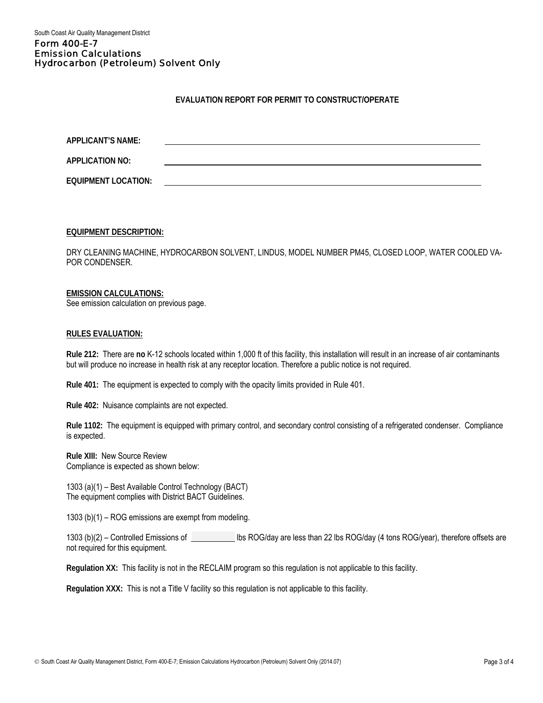South Coast Air Quality Management District

#### Form 400-E-7 Emission Calculations Hydrocarbon (Petroleum) Solvent Only

# **EVALUATION REPORT FOR PERMIT TO CONSTRUCT/OPERATE**

| APPLICANT'S NAME:          |  |  |  |
|----------------------------|--|--|--|
| <b>APPLICATION NO:</b>     |  |  |  |
| <b>EQUIPMENT LOCATION:</b> |  |  |  |

**EQUIPMENT DESCRIPTION:**

DRY CLEANING MACHINE, HYDROCARBON SOLVENT, LINDUS, MODEL NUMBER PM45, CLOSED LOOP, WATER COOLED VA-POR CONDENSER.

## **EMISSION CALCULATIONS:**

See emission calculation on previous page.

#### **RULES EVALUATION:**

**Rule 212:** There are **no** K-12 schools located within 1,000 ft of this facility, this installation will result in an increase of air contaminants but will produce no increase in health risk at any receptor location. Therefore a public notice is not required.

**Rule 401:** The equipment is expected to comply with the opacity limits provided in Rule 401.

**Rule 402:** Nuisance complaints are not expected.

**Rule 1102:** The equipment is equipped with primary control, and secondary control consisting of a refrigerated condenser. Compliance is expected.

**Rule XIII:** New Source Review Compliance is expected as shown below:

1303 (a)(1) – Best Available Control Technology (BACT) The equipment complies with District BACT Guidelines.

1303 (b)(1) – ROG emissions are exempt from modeling.

1303 (b)(2) – Controlled Emissions of **less Limitary Controller** lbs ROG/day are less than 22 lbs ROG/day (4 tons ROG/year), therefore offsets are not required for this equipment.

**Regulation XX:** This facility is not in the RECLAIM program so this regulation is not applicable to this facility.

**Regulation XXX:** This is not a Title V facility so this regulation is not applicable to this facility.